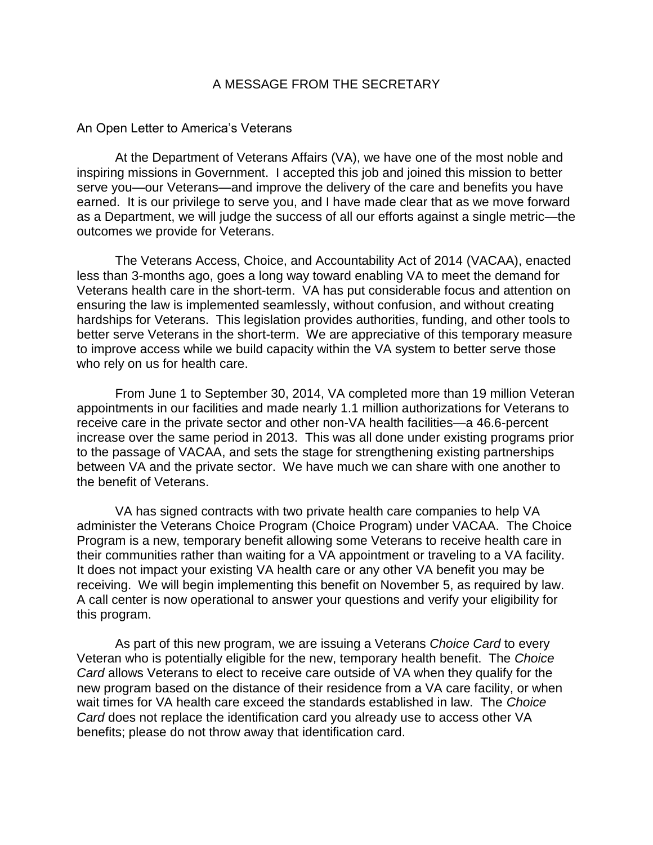## A MESSAGE FROM THE SECRETARY

## An Open Letter to America's Veterans

At the Department of Veterans Affairs (VA), we have one of the most noble and inspiring missions in Government. I accepted this job and joined this mission to better serve you—our Veterans—and improve the delivery of the care and benefits you have earned. It is our privilege to serve you, and I have made clear that as we move forward as a Department, we will judge the success of all our efforts against a single metric—the outcomes we provide for Veterans.

The Veterans Access, Choice, and Accountability Act of 2014 (VACAA), enacted less than 3-months ago, goes a long way toward enabling VA to meet the demand for Veterans health care in the short-term. VA has put considerable focus and attention on ensuring the law is implemented seamlessly, without confusion, and without creating hardships for Veterans. This legislation provides authorities, funding, and other tools to better serve Veterans in the short-term. We are appreciative of this temporary measure to improve access while we build capacity within the VA system to better serve those who rely on us for health care.

From June 1 to September 30, 2014, VA completed more than 19 million Veteran appointments in our facilities and made nearly 1.1 million authorizations for Veterans to receive care in the private sector and other non-VA health facilities—a 46.6-percent increase over the same period in 2013. This was all done under existing programs prior to the passage of VACAA, and sets the stage for strengthening existing partnerships between VA and the private sector. We have much we can share with one another to the benefit of Veterans.

VA has signed contracts with two private health care companies to help VA administer the Veterans Choice Program (Choice Program) under VACAA. The Choice Program is a new, temporary benefit allowing some Veterans to receive health care in their communities rather than waiting for a VA appointment or traveling to a VA facility. It does not impact your existing VA health care or any other VA benefit you may be receiving. We will begin implementing this benefit on November 5, as required by law. A call center is now operational to answer your questions and verify your eligibility for this program.

As part of this new program, we are issuing a Veterans *Choice Card* to every Veteran who is potentially eligible for the new, temporary health benefit. The *Choice Card* allows Veterans to elect to receive care outside of VA when they qualify for the new program based on the distance of their residence from a VA care facility, or when wait times for VA health care exceed the standards established in law. The *Choice Card* does not replace the identification card you already use to access other VA benefits; please do not throw away that identification card.